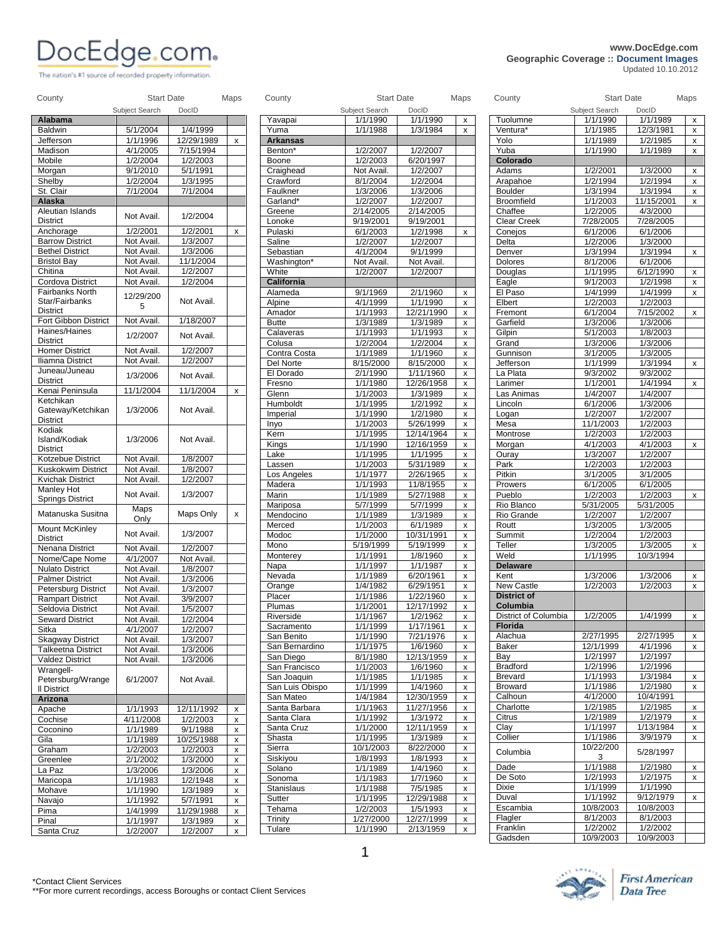## **WWW.DocEdge.com**<br>
Geographic Coverage :: Document Images<br>
Lindated 10.10.2012

The nation's #1 source of recorded property information.

## **Geographic Coverage :: Document Images** Updated 10.10.2012

| Alabama                    | Subject Search | DocID      |                    | Yavapai                          | Subject Search<br>1/1/1990 | DocID<br>1/1/1990      |                    | Tuolumne                       | Subject Search<br>1/1/1990 | DocID<br>1/1/1989    |
|----------------------------|----------------|------------|--------------------|----------------------------------|----------------------------|------------------------|--------------------|--------------------------------|----------------------------|----------------------|
|                            |                |            |                    |                                  |                            |                        | x                  | Ventura*                       |                            |                      |
| Baldwin                    | 5/1/2004       | 1/4/1999   |                    | Yuma                             | 1/1/1988                   | 1/3/1984               | x                  |                                | 1/1/1985                   | 12/3/1981            |
| Jefferson                  | 1/1/1996       | 12/29/1989 | X                  | <b>Arkansas</b>                  |                            |                        |                    | Yolo                           | 1/1/1989                   | 1/2/1985             |
| Madison                    | 4/1/2005       | 7/15/1994  |                    | Benton*                          | 1/2/2007                   | 1/2/2007               |                    | Yuba                           | 1/1/1990                   | 1/1/1989             |
| Mobile                     | 1/2/2004       | 1/2/2003   |                    | Boone                            | 1/2/2003                   | 6/20/1997              |                    | Colorado                       |                            |                      |
| Morgan                     | 9/1/2010       | 5/1/1991   |                    | Craighead                        | Not Avail.                 | 1/2/2007               |                    | Adams                          | 1/2/2001                   | 1/3/2000             |
| Shelby                     | 1/2/2004       | 1/3/1995   |                    | Crawford                         | 8/1/2004                   | 1/2/2004               |                    | Arapahoe                       | 1/2/1994                   | 1/2/1994             |
| St. Clair                  | 7/1/2004       | 7/1/2004   |                    | Faulkner                         | 1/3/2006                   | 1/3/2006               |                    | <b>Boulder</b>                 | 1/3/1994                   | 1/3/1994             |
| Alaska                     |                |            |                    | Garland*                         | 1/2/2007                   | 1/2/2007               |                    | Broomfield                     | 1/1/2003                   | 11/15/2001           |
| Aleutian Islands           | Not Avail.     | 1/2/2004   |                    | Greene                           | 2/14/2005                  | 2/14/2005              |                    | Chaffee                        | 1/2/2005                   | 4/3/2000             |
| <b>District</b>            |                |            |                    | Lonoke                           | 9/19/2001                  | 9/19/2001              |                    | Clear Creek                    | 7/28/2005                  | 7/28/2005            |
| Anchorage                  | 1/2/2001       | 1/2/2001   | X                  | Pulaski                          | 6/1/2003                   | 1/2/1998               | $\mathsf{x}$       | Conejos                        | 6/1/2006                   | 6/1/2006             |
| <b>Barrow District</b>     | Not Avail.     | 1/3/2007   |                    | Saline                           | 1/2/2007                   | 1/2/2007               |                    | Delta                          | 1/2/2006                   | 1/3/2000             |
| <b>Bethel District</b>     | Not Avail.     | 1/3/2006   |                    | Sebastian                        | 4/1/2004                   | 9/1/1999               |                    | Denver                         | 1/3/1994                   | 1/3/1994             |
| <b>Bristol Bay</b>         | Not Avail.     | 11/1/2004  |                    | Washington*                      | Not Avail.                 | Not Avail.             |                    | Dolores                        | 8/1/2006                   | 6/1/2006             |
| Chitina                    | Not Avail.     | 1/2/2007   |                    | White                            | 1/2/2007                   | 1/2/2007               |                    | Douglas                        | 1/1/1995                   | 6/12/1990            |
| Cordova District           | Not Avail.     | 1/2/2004   |                    | California                       |                            |                        |                    | Eagle                          | 9/1/2003                   | 1/2/1998             |
| Fairbanks North            |                |            |                    | Alameda                          | 9/1/1969                   | 2/1/1960               | x                  | El Paso                        | 1/4/1999                   | 1/4/1999             |
| Star/Fairbanks             | 12/29/200      | Not Avail. |                    | Alpine                           | 4/1/1999                   | 1/1/1990               | x                  | Elbert                         | 1/2/2003                   | 1/2/2003             |
| <b>District</b>            | 5              |            |                    | Amador                           | 1/1/1993                   | 12/21/1990             | X                  | Fremont                        | 6/1/2004                   | 7/15/2002            |
| Fort Gibbon District       | Not Avail.     | 1/18/2007  |                    | Butte                            | 1/3/1989                   | 1/3/1989               | x                  | Garfield                       | 1/3/2006                   | 1/3/2006             |
| Haines/Haines              |                |            |                    | Calaveras                        | 1/1/1993                   | 1/1/1993               | x                  | Gilpin                         | 5/1/2003                   | 1/8/2003             |
| <b>District</b>            | 1/2/2007       | Not Avail. |                    | Colusa                           | 1/2/2004                   | 1/2/2004               | X                  | Grand                          | 1/3/2006                   | 1/3/2006             |
| <b>Homer District</b>      | Not Avail.     | 1/2/2007   |                    |                                  | 1/1/1989                   |                        |                    | Gunnison                       |                            |                      |
| Iliamna District           | Not Avail.     | 1/2/2007   |                    | Contra Costa<br><b>Del Norte</b> | 8/15/2000                  | 1/1/1960               | X                  |                                | 3/1/2005                   | 1/3/2005<br>1/3/1994 |
| Juneau/Juneau              |                |            |                    |                                  |                            | 8/15/2000<br>1/11/1960 | x                  | Jefferson                      | 1/1/1999                   |                      |
| <b>District</b>            | 1/3/2006       | Not Avail. |                    | El Dorado                        | 2/1/1990                   |                        | X                  | La Plata                       | 9/3/2002                   | 9/3/2002             |
| Kenai Peninsula            | 11/1/2004      | 11/1/2004  | X                  | Fresno                           | 1/1/1980                   | 12/26/1958             | x                  | Larimer                        | 1/1/2001                   | 1/4/1994             |
| Ketchikan                  |                |            |                    | Glenn                            | 1/1/2003                   | 1/3/1989               | X                  | Las Animas                     | 1/4/2007                   | 1/4/2007             |
| Gateway/Ketchikan          | 1/3/2006       | Not Avail. |                    | Humboldt                         | 1/1/1995                   | 1/2/1992               | x                  | Lincoln                        | 6/1/2006                   | 1/3/2006             |
| <b>District</b>            |                |            |                    | Imperial                         | 1/1/1990                   | 1/2/1980               | X                  | Logan                          | 1/2/2007                   | 1/2/2007             |
| Kodiak                     |                |            |                    | Inyo                             | 1/1/2003                   | 5/26/1999              | x                  | Mesa                           | 11/1/2003                  | 1/2/2003             |
| Island/Kodiak              | 1/3/2006       | Not Avail. |                    | Kern                             | 1/1/1995                   | 12/14/1964             | x                  | Montrose                       | 1/2/2003                   | 1/2/2003             |
| <b>District</b>            |                |            |                    | Kings                            | 1/1/1990                   | 12/16/1959             | x                  | Morgan                         | 4/1/2003                   | 4/1/2003             |
| Kotzebue District          | Not Avail.     | 1/8/2007   |                    | Lake                             | 1/1/1995                   | 1/1/1995               | x                  | Ouray                          | 1/3/2007                   | 1/2/2007             |
| Kuskokwim District         | Not Avail.     | 1/8/2007   |                    | Lassen                           | 1/1/2003                   | 5/31/1989              | x                  | Park                           | 1/2/2003                   | 1/2/2003             |
|                            |                |            |                    | Los Angeles                      | 1/1/1977                   | 2/26/1965              | X                  | Pitkin                         | 3/1/2005                   | 3/1/2005             |
| Kvichak District           | Not Avail.     | 1/2/2007   |                    | Madera                           | 1/1/1993                   | 11/8/1955              | X                  | Prowers                        | 6/1/2005                   | 6/1/2005             |
| Manley Hot                 | Not Avail.     | 1/3/2007   |                    | Marin                            | 1/1/1989                   | 5/27/1988              | x                  | Pueblo                         | 1/2/2003                   | 1/2/2003             |
| <b>Springs District</b>    |                |            |                    | Mariposa                         | 5/7/1999                   | 5/7/1999               | X                  | Rio Blanco                     | $\overline{5/31/2005}$     | 5/31/2005            |
| Matanuska Susitna          | Maps           | Maps Only  | X                  | Mendocino                        | 1/1/1989                   | 1/3/1989               | X                  | Rio Grande                     | 1/2/2007                   | 1/2/2007             |
|                            | Only           |            |                    | Merced                           | 1/1/2003                   | 6/1/1989               | x                  | Routt                          | 1/3/2005                   | 1/3/2005             |
| Mount McKinley             | Not Avail.     | 1/3/2007   |                    | Modoc                            | 1/1/2000                   | 10/31/1991             | $\pmb{\mathsf{x}}$ | Summit                         | 1/2/2004                   | 1/2/2003             |
| <b>District</b>            |                |            |                    | Mono                             | 5/19/1999                  | 5/19/1999              | X                  | Teller                         | 1/3/2005                   | 1/3/2005             |
| Nenana District            | Not Avail.     | 1/2/2007   |                    | Monterey                         | 1/1/1991                   | 1/8/1960               | X                  | Weld                           | 1/1/1995                   | 10/3/1994            |
| Nome/Cape Nome             | 4/1/2007       | Not Avail. |                    | Napa                             | 1/1/1997                   | 1/1/1987               | X                  | <b>Delaware</b>                |                            |                      |
| <b>Nulato District</b>     | Not Avail.     | 1/8/2007   |                    |                                  | 1/1/1989                   | 6/20/1961              |                    | Kent                           | 1/3/2006                   | 1/3/2006             |
| <b>Palmer District</b>     | Not Avail.     | 1/3/2006   |                    | Nevada                           | 1/4/1982                   |                        | X                  |                                | 1/2/2003                   | 1/2/2003             |
| <b>Petersburg District</b> | Not Avail.     | 1/3/2007   |                    | Orange                           |                            | 6/29/1951              | x                  | New Castle                     |                            |                      |
| <b>Rampart District</b>    | Not Avail.     | 3/9/2007   |                    | Placer                           | 1/1/1986                   | 1/22/1960              | x                  | <b>District of</b><br>Columbia |                            |                      |
| Seldovia District          | Not Avail.     | 1/5/2007   |                    | Plumas                           | 1/1/2001                   | 12/17/1992             | x                  |                                |                            |                      |
| <b>Seward District</b>     | Not Avail.     | 1/2/2004   |                    | Riverside                        | 1/1/1967                   | 1/2/1962               | x                  | District of Columbia           | 1/2/2005                   | 1/4/1999             |
| Sitka                      | 4/1/2007       | 1/2/2007   |                    | Sacramento                       | 1/1/1999                   | 1/17/1961              | X                  | Florida                        |                            |                      |
| <b>Skagway District</b>    | Not Avail.     | 1/3/2007   |                    | San Benito                       | 1/1/1990                   | 7/21/1976              | x                  | Alachua                        | 2/27/1995                  | 2/27/1995            |
| Talkeetna District         | Not Avail.     | 1/3/2006   |                    | San Bernardino                   | 1/1/1975                   | 1/6/1960               | x                  | Baker                          | 12/1/1999                  | 4/1/1996             |
| <b>Valdez District</b>     | Not Avail.     | 1/3/2006   |                    | San Diego                        | 8/1/1980                   | 12/13/1959             | x                  | Bay                            | 1/2/1997                   | 1/2/1997             |
| Wrangell-                  |                |            |                    | San Francisco                    | 1/1/2003                   | 1/6/1960               | x                  | <b>Bradford</b>                | 1/2/1996                   | 1/2/1996             |
| Petersburg/Wrange          | 6/1/2007       | Not Avail. |                    | San Joaquin                      | 1/1/1985                   | 1/1/1985               | X                  | <b>Brevard</b>                 | 1/1/1993                   | 1/3/1984             |
| Il District                |                |            |                    | San Luis Obispo                  | 1/1/1999                   | 1/4/1960               | X                  | <b>Broward</b>                 | 1/1/1986                   | 1/2/1980             |
| Arizona                    |                |            |                    | San Mateo                        | 1/4/1984                   | 12/30/1959             | x                  | Calhoun                        | 4/1/2000                   | 10/4/1991            |
| Apache                     | 1/1/1993       | 12/11/1992 | X                  | Santa Barbara                    | 1/1/1963                   | 11/27/1956             | x                  | Charlotte                      | 1/2/1985                   | 1/2/1985             |
| Cochise                    | 4/11/2008      | 1/2/2003   | $\pmb{\mathsf{x}}$ | Santa Clara                      | 1/1/1992                   | 1/3/1972               | x                  | Citrus                         | 1/2/1989                   | 1/2/1979             |
| Coconino                   | 1/1/1989       | 9/1/1988   | X                  | Santa Cruz                       | 1/1/2000                   | 12/11/1959             | x                  | Clay                           | 1/1/1997                   | 1/13/1984            |
| Gila                       | 1/1/1989       | 10/25/1988 | X                  | Shasta                           | 1/1/1995                   | 1/3/1989               | x                  | Collier                        | 1/1/1986                   | 3/9/1979             |
|                            | 1/2/2003       | 1/2/2003   |                    | Sierra                           | 10/1/2003                  | 8/22/2000              | X                  |                                | 10/22/200                  |                      |
| Graham                     |                |            | X                  | Siskiyou                         | 1/8/1993                   | 1/8/1993               | X                  | Columbia                       | 3                          | 5/28/1997            |
| Greenlee                   | 2/1/2002       | 1/3/2000   | $\pmb{\mathsf{x}}$ | Solano                           | 1/1/1989                   | 1/4/1960               |                    | Dade                           | 1/1/1988                   | 1/2/1980             |
| La Paz                     | 1/3/2006       | 1/3/2006   | $\pmb{\mathsf{x}}$ |                                  |                            |                        | x                  | De Soto                        | 1/2/1993                   | 1/2/1975             |
| Maricopa                   | 1/1/1983       | 1/2/1948   | X                  | Sonoma                           | 1/1/1983                   | 1/7/1960               | x                  | Dixie                          | 1/1/1999                   | 1/1/1990             |
| Mohave                     | 1/1/1990       | 1/3/1989   | $\pmb{\mathsf{x}}$ | Stanislaus                       | 1/1/1988                   | 7/5/1985               | x                  |                                |                            |                      |
| Navajo                     | 1/1/1992       | 5/7/1991   | x                  | Sutter                           | 1/1/1995                   | 12/29/1988             | X                  | Duval                          | 1/1/1992                   | 9/12/1979            |
| Pima                       | 1/4/1999       | 11/29/1988 | X                  | Tehama                           | 1/2/2003                   | 1/5/1993               | x                  | Escambia                       | 10/8/2003                  | 10/8/2003            |
|                            | 1/1/1997       | 1/3/1989   | X                  | Trinity                          | 1/27/2000                  | 12/27/1999             | x                  | Flagler                        | 8/1/2003                   | 8/1/2003             |
| Pinal                      |                |            |                    | Tulare                           | 1/1/1990                   | 2/13/1959              |                    | Franklin                       | 1/2/2002                   | 1/2/2002             |



10/9/2003



\*Contact Client Services \*\*For more current recordings, access Boroughs or contact Client Services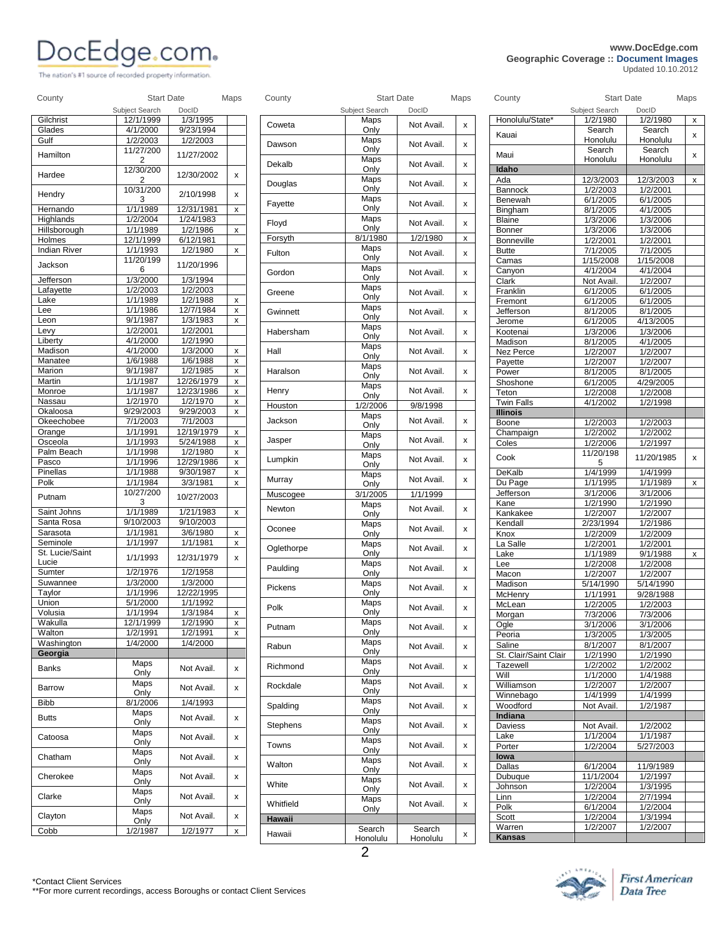# **DOCEdge.com**<br>
Geographic Coverage :: Document Images<br>
Updated 10.10.2012

The nation's #1 source of recorded property information.

## **Geographic Coverage :: Document Images** *Updated 10.10.2012*

| County              | <b>Start Date</b> |                        | Maps | County     | <b>Start Date</b> |            | Maps         | County                | <b>Start Date</b>      |                      | Maps                      |
|---------------------|-------------------|------------------------|------|------------|-------------------|------------|--------------|-----------------------|------------------------|----------------------|---------------------------|
|                     | Subject Search    | DoclD                  |      |            | Subject Search    | DocID      |              |                       | Subject Search         | DocID                |                           |
| Gilchrist           | 12/1/1999         | 1/3/1995               |      | Coweta     | Maps              | Not Avail. | X            | Honolulu/State*       | 1/2/1980               | 1/2/1980             | X                         |
| Glades              | 4/1/2000          | 9/23/1994              |      |            | Only              |            |              | Kauai                 | Search                 | Search               |                           |
| Gulf                | 1/2/2003          | 1/2/2003               |      | Dawson     | Maps              | Not Avail. | X            |                       | Honolulu               | Honolulu             |                           |
| Hamilton            | 11/27/200<br>2    | 11/27/2002             |      |            | Only<br>Maps      |            |              | Maui                  | Search<br>Honolulu     | Search<br>Honolulu   | X                         |
|                     | 12/30/200         |                        |      | Dekalb     | Only              | Not Avail. | X            | Idaho                 |                        |                      |                           |
| Hardee              | 2                 | 12/30/2002             | x    |            | Maps              |            |              | Ada                   | 12/3/2003              | 12/3/2003            | $\boldsymbol{\mathsf{x}}$ |
|                     | 10/31/200         |                        |      | Douglas    | Only              | Not Avail. | X            | <b>Bannock</b>        | 1/2/2003               | 1/2/2001             |                           |
| Hendry              | 3                 | 2/10/1998              | x    | Fayette    | Maps              | Not Avail. |              | Benewah               | 6/1/2005               | 6/1/2005             |                           |
| Hernando            | 1/1/1989          | 12/31/1981             | x    |            | Only              |            | x            | Bingham               | 8/1/2005               | 4/1/2005             |                           |
| Highlands           | 1/2/2004          | 1/24/1983              |      | Floyd      | Maps              | Not Avail. | X            | Blaine                | 1/3/2006               | 1/3/2006             |                           |
| Hillsborough        | 1/1/1989          | 1/2/1986               | X    |            | Only              |            |              | Bonner                | 1/3/2006               | 1/3/2006             |                           |
| Holmes              | 12/1/1999         | 6/12/1981              |      | Forsyth    | 8/1/1980          | 1/2/1980   | X            | <b>Bonneville</b>     | 1/2/2001               | 1/2/2001             |                           |
| <b>Indian River</b> | 1/1/1993          | 1/2/1980               | x    | Fulton     | Maps<br>Only      | Not Avail. | X            | <b>Butte</b>          | 7/1/2005               | 7/1/2005             |                           |
| Jackson             | 11/20/199         | 11/20/1996             |      |            | Maps              |            |              | Camas                 | 1/15/2008              | 1/15/2008            |                           |
| Jefferson           | 6<br>1/3/2000     | 1/3/1994               |      | Gordon     | Only              | Not Avail. | X            | Canyon                | 4/1/2004               | 4/1/2004             |                           |
| Lafayette           | 1/2/2003          | 1/2/2003               |      |            | Maps              |            |              | Clark<br>Franklin     | Not Avail.<br>6/1/2005 | 1/2/2007<br>6/1/2005 |                           |
| Lake                | 1/1/1989          | 1/2/1988               | x    | Greene     | Only              | Not Avail. | X            | Fremont               | 6/1/2005               | 6/1/2005             |                           |
| Lee                 | 1/1/1986          | 12/7/1984              | x    | Gwinnett   | Maps              | Not Avail. | X            | Jefferson             | 8/1/2005               | 8/1/2005             |                           |
| Leon                | 9/1/1987          | 1/3/1983               | x    |            | Only              |            |              | Jerome                | 6/1/2005               | 4/13/2005            |                           |
| Levy                | 1/2/2001          | 1/2/2001               |      | Habersham  | Maps              | Not Avail. | x            | Kootenai              | 1/3/2006               | 1/3/2006             |                           |
| Liberty             | 4/1/2000          | 1/2/1990               |      |            | Only              |            |              | Madison               | 8/1/2005               | 4/1/2005             |                           |
| Madison             | 4/1/2000          | 1/3/2000               | X    | Hall       | Maps              | Not Avail. | x            | Nez Perce             | 1/2/2007               | 1/2/2007             |                           |
| Manatee             | 1/6/1988          | 1/6/1988               | x    |            | Only              |            |              | Pavette               | 1/2/2007               | 1/2/2007             |                           |
| Marion              | 9/1/1987          | 1/2/1985               | x    | Haralson   | Maps              | Not Avail. | x            | Power                 | 8/1/2005               | 8/1/2005             |                           |
| Martin              | 1/1/1987          | 12/26/1979             | x    |            | Only              |            |              | Shoshone              | 6/1/2005               | 4/29/2005            |                           |
| Monroe              | 1/1/1987          | 12/23/1986             | x    | Henry      | Maps<br>Only      | Not Avail. | X            | Teton                 | 1/2/2008               | 1/2/2008             |                           |
| Nassau              | 1/2/1970          | 1/2/1970               | x    | Houston    | 1/2/2006          | 9/8/1998   |              | Twin Falls            | 4/1/2002               | 1/2/1998             |                           |
| Okaloosa            | 9/29/2003         | 9/29/2003              | x    |            | Maps              |            |              | <b>Illinois</b>       |                        |                      |                           |
| Okeechobee          | 7/1/2003          | 7/1/2003               |      | Jackson    | Only              | Not Avail. | x            | Boone                 | 1/2/2003               | 1/2/2003             |                           |
| Orange              | 1/1/1991          | 12/19/1979             | x    |            | Maps              |            |              | Champaign             | 1/2/2002               | 1/2/2002             |                           |
| Osceola             | 1/1/1993          | 5/24/1988              | x    | Jasper     | Only              | Not Avail. | x            | Coles                 | 1/2/2006               | 1/2/1997             |                           |
| Palm Beach          | 1/1/1998          | 1/2/1980               | x    |            | Maps              |            |              | Cook                  | 11/20/198              | 11/20/1985           | X                         |
| Pasco               | 1/1/1996          | 12/29/1986             | x    | Lumpkin    | Only              | Not Avail. | x            |                       | 5                      |                      |                           |
| Pinellas            | 1/1/1988          | 9/30/1987              | x    | Murray     | Maps              | Not Avail. | x            | DeKalb                | 1/4/1999               | 1/4/1999             |                           |
| Polk                | 1/1/1984          | 3/3/1981               | x    |            | Only              |            |              | Du Page               | 1/1/1995               | 1/1/1989             | X                         |
| Putnam              | 10/27/200         | 10/27/2003             |      | Muscogee   | 3/1/2005          | 1/1/1999   |              | Jefferson             | 3/1/2006               | 3/1/2006             |                           |
| Saint Johns         | 3<br>1/1/1989     |                        |      | Newton     | Maps              | Not Avail. | x            | Kane                  | 1/2/1990               | 1/2/1990             |                           |
| Santa Rosa          | 9/10/2003         | 1/21/1983<br>9/10/2003 | X    |            | Only              |            |              | Kankakee              | 1/2/2007               | 1/2/2007             |                           |
| Sarasota            | 1/1/1981          | 3/6/1980               | x    | Oconee     | Maps<br>Only      | Not Avail. | X            | Kendall<br>Knox       | 2/23/1994<br>1/2/2009  | 1/2/1986<br>1/2/2009 |                           |
| Seminole            | 1/1/1997          | 1/1/1981               | x    |            | Maps              |            |              | La Salle              | 1/2/2001               | 1/2/2001             |                           |
| St. Lucie/Saint     |                   |                        |      | Oglethorpe | Only              | Not Avail. | x            | Lake                  | 1/1/1989               | 9/1/1988             | X                         |
| Lucie               | 1/1/1993          | 12/31/1979             | x    |            | Maps              |            |              | Lee                   | 1/2/2008               | 1/2/2008             |                           |
| Sumter              | 1/2/1976          | 1/2/1958               |      | Paulding   | Only              | Not Avail. | X            | Macon                 | 1/2/2007               | 1/2/2007             |                           |
| Suwannee            | 1/3/2000          | 1/3/2000               |      |            | Maps              |            |              | Madison               | 5/14/1990              | 5/14/1990            |                           |
| Taylor              | 1/1/1996          | 12/22/1995             |      | Pickens    | Only              | Not Avail. | x            | McHenry               | 1/1/1991               | 9/28/1988            |                           |
| Union               | 5/1/2000          | 1/1/1992               |      | Polk       | Maps              | Not Avail. | $\mathsf{x}$ | McLean                | 1/2/2005               | 1/2/2003             |                           |
| Volusia             | 1/1/1994          | 1/3/1984               | X    |            | Only              |            |              | Morgan                | 7/3/2006               | 7/3/2006             |                           |
| Wakulla             | 12/1/1999         | 1/2/1990               | X    | Putnam     | Maps              | Not Avail. | x            | Ogle                  | 3/1/2006               | 3/1/2006             |                           |
| Walton              | 1/2/1991          | 1/2/1991               | X    |            | Only              |            |              | Peoria                | 1/3/2005               | 1/3/2005             |                           |
| Washington          | 1/4/2000          | 1/4/2000               |      | Rabun      | Maps              | Not Avail. | x            | Saline                | 8/1/2007               | 8/1/2007             |                           |
| Georgia             |                   |                        |      |            | Only              |            |              | St. Clair/Saint Clair | 1/2/1990               | 1/2/1990             |                           |
| Banks               | Maps              | Not Avail.             | x    | Richmond   | Maps<br>Only      | Not Avail. | x            | Tazewell              | 1/2/2002               | 1/2/2002             |                           |
|                     | Only              |                        |      |            | Maps              |            |              | Will                  | 1/1/2000               | 1/4/1988             |                           |
| Barrow              | Maps<br>Only      | Not Avail.             | x    | Rockdale   | Only              | Not Avail. | X            | Williamson            | 1/2/2007               | 1/2/2007             |                           |
| <b>Bibb</b>         | 8/1/2006          | 1/4/1993               |      |            | Maps              |            |              | Winnebago             | 1/4/1999               | 1/4/1999             |                           |
|                     | Maps              |                        |      | Spalding   | Only              | Not Avail. | X            | Woodford              | Not Avail.             | 1/2/1987             |                           |
| <b>Butts</b>        | Only              | Not Avail.             | x    |            | Maps              |            |              | Indiana               |                        |                      |                           |
|                     | Maps              |                        |      | Stephens   | Only              | Not Avail. | x            | Daviess               | Not Avail.             | 1/2/2002             |                           |
| Catoosa             | Only              | Not Avail.             | x    | Towns      | Maps              | Not Avail. | x            | Lake                  | 1/1/2004               | 1/1/1987             |                           |
|                     | Maps              |                        |      |            | Only              |            |              | Porter                | 1/2/2004               | 5/27/2003            |                           |
| Chatham             | Only              | Not Avail.             | x    | Walton     | Maps              | Not Avail. | x            | lowa<br>Dallas        | 6/1/2004               | 11/9/1989            |                           |
| Cherokee            | Maps              | Not Avail.             | x    |            | Only              |            |              | Dubuque               | 11/1/2004              | 1/2/1997             |                           |
|                     | Only              |                        |      | White      | Maps              | Not Avail. | x            | Johnson               | 1/2/2004               | 1/3/1995             |                           |
| Clarke              | Maps              | Not Avail.             | x    |            | Only              |            |              | Linn                  | 1/2/2004               | 2/7/1994             |                           |
|                     | Only              |                        |      | Whitfield  | Maps<br>Only      | Not Avail. | x            | Polk                  | 6/1/2004               | 1/2/2004             |                           |
| Clayton             | Maps<br>Only      | Not Avail.             | x    | Hawaii     |                   |            |              | Scott                 | 1/2/2004               | 1/3/1994             |                           |
| Cobb                | 1/2/1987          | 1/2/1977               | X    |            | Search            | Search     |              | Warren                | 1/2/2007               | 1/2/2007             |                           |
|                     |                   |                        |      | Hawaii     |                   |            |              |                       |                        |                      |                           |

|                 | Subject Search      | DocID      |   |
|-----------------|---------------------|------------|---|
| Coweta          | Maps<br>Only        | Not Avail. | x |
| Dawson          | Maps<br>Only        | Not Avail. | x |
| Dekalb          | Maps<br>Only        | Not Avail. | x |
| Douglas         | Maps<br>Only        | Not Avail. | X |
| Fayette         | Maps<br>Only        | Not Avail. | X |
| Floyd           | Maps<br>Only        | Not Avail. | X |
| Forsyth         | 8/1/1980            | 1/2/1980   | X |
| Fulton          | Maps<br>Only        | Not Avail. | X |
| Gordon          | Maps<br>Only        | Not Avail. | x |
| Greene          | Maps<br>Only        | Not Avail. | x |
| Gwinnett        | Maps<br>Only        | Not Avail. | X |
| Habersham       | Maps<br>Only        | Not Avail. | x |
| Hall            | Maps<br>Only        | Not Avail. | X |
| Haralson        | Maps<br>Only        | Not Avail. | X |
| Henry           | Maps                | Not Avail. | x |
| Houston         | Only<br>1/2/2006    | 9/8/1998   |   |
| Jackson         | Maps                | Not Avail. | x |
| Jasper          | Only<br>Maps        | Not Avail. | X |
| Lumpkin         | Only<br>Maps        | Not Avail. | x |
|                 | Only<br>Maps        |            |   |
| Murray          | Only                | Not Avail. | X |
| Muscogee        | 3/1/2005            | 1/1/1999   |   |
| Newton          | Maps<br>Only        | Not Avail. | X |
| Oconee          | Maps<br>Only        | Not Avail. | x |
| Oglethorpe      | Maps<br>Only        | Not Avail. | x |
| Paulding        | Maps<br>Only        | Not Avail. | X |
| Pickens         | Maps<br>Only        | Not Avail. | x |
| Polk            | Maps<br>Only        | Not Avail. | X |
| Putnam          | Maps<br>Only        | Not Avail. | x |
| Rabun           | Maps<br>Only        | Not Avail. | x |
| Richmond        | Maps<br>Only        | Not Avail. | x |
| Rockdale        | Maps<br>Only        | Not Avail. | x |
| Spalding        | <b>Maps</b><br>Only | Not Avail. | x |
| <b>Stephens</b> | Maps<br>Only        | Not Avail. | x |
| Towns           | Maps<br>Only        | Not Avail. | x |
| Walton          | Maps<br>Only        | Not Avail. | x |
| White           | Maps<br>Only        | Not Avail. | x |
| Whitfield       | Maps<br>Only        | Not Avail. | x |
| Hawaii          |                     |            |   |
| Hawaii          | Search              | Search     | x |
|                 | Honolulu            | Honolulu   |   |

| County                | <b>Start Date</b>          |                      | Maps |
|-----------------------|----------------------------|----------------------|------|
| Honolulu/State*       | Subject Search<br>1/2/1980 | DocID<br>1/2/1980    | х    |
| Kauai                 | Search<br>Honolulu         | Search<br>Honolulu   | x    |
| Maui                  | Search<br>Honolulu         | Search<br>Honolulu   | x    |
| Idaho                 |                            |                      |      |
| Ada                   | 12/3/2003                  | 12/3/2003            | x    |
| Bannock               | 1/2/2003                   | 1/2/2001             |      |
| Benewah<br>Bingham    | 6/1/2005<br>8/1/2005       | 6/1/2005<br>4/1/2005 |      |
| <b>Blaine</b>         | 1/3/2006                   | 1/3/2006             |      |
| Bonner                | 1/3/2006                   | 1/3/2006             |      |
| Bonneville            | 1/2/2001                   | 1/2/2001             |      |
| <b>Butte</b>          | 7/1/2005                   | 7/1/2005             |      |
| Camas                 | 1/15/2008                  | 1/15/2008            |      |
| Canyon                | 4/1/2004                   | 4/1/2004             |      |
| Clark                 | Not Avail.                 | 1/2/2007             |      |
| Franklin              | 6/1/2005                   | 6/1/2005             |      |
| Fremont<br>Jefferson  | 6/1/2005<br>8/1/2005       | 6/1/2005<br>8/1/2005 |      |
| Jerome                | 6/1/2005                   | 4/13/2005            |      |
| Kootenai              | 1/3/2006                   | 1/3/2006             |      |
| Madison               | 8/1/2005                   | 4/1/2005             |      |
| Nez Perce             | 1/2/2007                   | 1/2/2007             |      |
| Payette               | 1/2/2007                   | 1/2/2007             |      |
| Power                 | 8/1/2005                   | 8/1/2005             |      |
| Shoshone              | 6/1/2005                   | 4/29/2005            |      |
| Teton                 | 1/2/2008                   | 1/2/2008             |      |
| <b>Twin Falls</b>     | 4/1/2002                   | 1/2/1998             |      |
| <b>Illinois</b>       |                            |                      |      |
| Boone<br>Champaign    | 1/2/2003<br>1/2/2002       | 1/2/2003<br>1/2/2002 |      |
| Coles                 | 1/2/2006                   | 1/2/1997             |      |
|                       | 11/20/198                  |                      |      |
| Cook                  | 5                          | 11/20/1985           | x    |
| DeKalb                | 1/4/1999                   | 1/4/1999             |      |
| Du Page               | 1/1/1995                   | 1/1/1989             | x    |
| Jefferson             | 3/1/2006                   | 3/1/2006             |      |
| Kane                  | 1/2/1990                   | 1/2/1990             |      |
| Kankakee<br>Kendall   | 1/2/2007<br>2/23/1994      | 1/2/2007<br>1/2/1986 |      |
| Knox                  | 1/2/2009                   | 1/2/2009             |      |
| La Salle              | 1/2/2001                   | 1/2/2001             |      |
| Lake                  | 1/1/1989                   | 9/1/1988             | x    |
| Lee                   | 1/2/2008                   | 1/2/2008             |      |
| Macon                 | 1/2/2007                   | 1/2/2007             |      |
| Madison               | 5/14/1990                  | 5/14/1990            |      |
| McHenry               | 1/1/1991                   | 9/28/1988            |      |
| McLean                | 1/2/2005                   | 1/2/2003             |      |
| Morgan<br>Ogle        | 7/3/2006<br>3/1/2006       | 7/3/2006<br>3/1/2006 |      |
| Peoria                | 1/3/2005                   | 1/3/2005             |      |
| Saline                | 8/1/2007                   | 8/1/2007             |      |
| St. Clair/Saint Clair | 1/2/1990                   | 1/2/1990             |      |
| Tazewell              | 1/2/2002                   | $\frac{1}{2}/2002$   |      |
| Will                  | 1/1/2000                   | 1/4/1988             |      |
| Williamson            | 1/2/2007                   | 1/2/2007             |      |
| Winnebago             | 1/4/1999                   | 1/4/1999             |      |
| Woodford              | Not Avail.                 | 1/2/1987             |      |
| Indiana<br>Daviess    | Not Avail.                 | 1/2/2002             |      |
| Lake                  | 1/1/2004                   | 1/1/1987             |      |
| Porter                | 1/2/2004                   | 5/27/2003            |      |
| lowa                  |                            |                      |      |
| Dallas                | 6/1/2004                   | 11/9/1989            |      |
| Dubuque               | 11/1/2004                  | 1/2/1997             |      |
| Johnson               | 1/2/2004                   | 1/3/1995             |      |
| Linn                  | 1/2/2004                   | 2/7/1994             |      |
| Polk                  | 6/1/2004                   | 1/2/2004             |      |
| Scott<br>Warren       | 1/2/2004<br>1/2/2007       | 1/3/1994<br>1/2/2007 |      |
| <b>Kansas</b>         |                            |                      |      |

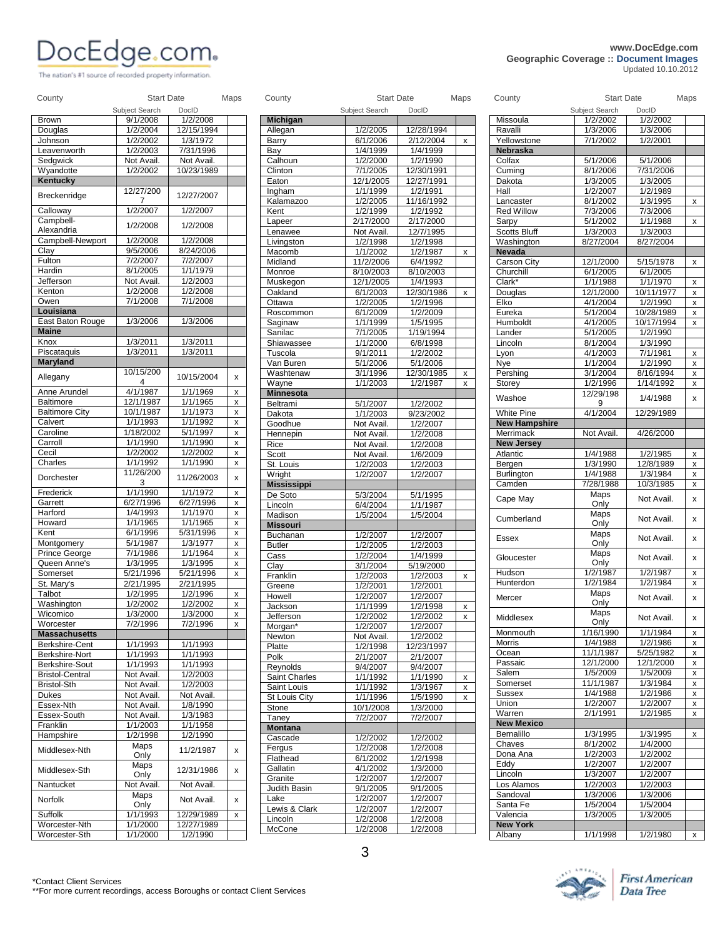The nation's #1 source of recorded property information.

## **PORTING COMPUTER Geographic Coverage :: Document Images<br>Updated 10.10.2012**

*Updated 10.10.2012* 

|                                                                                | Subject Search | <b>Start Date</b><br>DocID | Maps                      | County              | <b>Start Date</b><br>Subject Search | DoclD                | Maps                      | County               | Subject Search       | <b>Start Date</b><br>DocID | Maps               |
|--------------------------------------------------------------------------------|----------------|----------------------------|---------------------------|---------------------|-------------------------------------|----------------------|---------------------------|----------------------|----------------------|----------------------------|--------------------|
| Brown                                                                          | 9/1/2008       | 1/2/2008                   |                           | <b>Michigan</b>     |                                     |                      |                           | Missoula             | 1/2/2002             | 1/2/2002                   |                    |
| Douglas                                                                        | 1/2/2004       | 12/15/1994                 |                           | Allegan             | 1/2/2005                            | 12/28/1994           |                           | Ravalli              | 1/3/2006             | 1/3/2006                   |                    |
| Johnson                                                                        | 1/2/2002       | 1/3/1972                   |                           | Barry               | 6/1/2006                            | 2/12/2004            | $\mathsf{x}$              | Yellowstone          | 7/1/2002             | 1/2/2001                   |                    |
| Leavenworth                                                                    | 1/2/2003       | 7/31/1996                  |                           | Bay                 | 1/4/1999                            | 1/4/1999             |                           | Nebraska             |                      |                            |                    |
| Sedgwick                                                                       | Not Avail.     | Not Avail.                 |                           | Calhoun             | 1/2/2000                            | 1/2/1990             |                           | Colfax               | 5/1/2006             | 5/1/2006                   |                    |
| Wyandotte                                                                      | 1/2/2002       | 10/23/1989                 |                           | Clinton             | 7/1/2005                            | 12/30/1991           |                           | Cuming               | 8/1/2006             | 7/31/2006                  |                    |
| Kentucky                                                                       |                |                            |                           | Eaton               | 12/1/2005                           | 12/27/1991           |                           | Dakota               | 1/3/2005             | 1/3/2005                   |                    |
|                                                                                | 12/27/200      |                            |                           | Ingham              | 1/1/1999                            | 1/2/1991             |                           | Hall                 | 1/2/2007             | 1/2/1989                   |                    |
| Breckenridge                                                                   | $\overline{7}$ | 12/27/2007                 |                           | Kalamazoo           | 1/2/2005                            | 11/16/1992           |                           | Lancaster            | 8/1/2002             | 1/3/1995                   | $\pmb{\mathsf{X}}$ |
| Calloway                                                                       | 1/2/2007       | 1/2/2007                   |                           | Kent                | 1/2/1999                            | 1/2/1992             |                           | <b>Red Willow</b>    | 7/3/2006             | 7/3/2006                   |                    |
| Campbell-                                                                      |                |                            |                           | Lapeer              | 2/17/2000                           | 2/17/2000            |                           | Sarpy                | 5/1/2002             | 1/1/1988                   | $\pmb{\mathsf{X}}$ |
| Alexandria                                                                     | 1/2/2008       | 1/2/2008                   |                           | Lenawee             | Not Avail.                          | 12/7/1995            |                           | <b>Scotts Bluff</b>  | 1/3/2003             | 1/3/2003                   |                    |
| Campbell-Newport                                                               | 1/2/2008       | 1/2/2008                   |                           | Livingston          | 1/2/1998                            | 1/2/1998             |                           | Washington           | 8/27/2004            | 8/27/2004                  |                    |
| Clay                                                                           | 9/5/2006       | 8/24/2006                  |                           | Macomb              | 1/1/2002                            | 1/2/1987             | $\boldsymbol{\mathsf{x}}$ | <b>Nevada</b>        |                      |                            |                    |
| Fulton                                                                         | 7/2/2007       | 7/2/2007                   |                           | Midland             | 11/2/2006                           | 6/4/1992             |                           | Carson City          | 12/1/2000            | 5/15/1978                  | $\mathsf{x}$       |
| Hardin                                                                         | 8/1/2005       | 1/1/1979                   |                           | Monroe              | 8/10/2003                           | 8/10/2003            |                           | Churchill            | 6/1/2005             | 6/1/2005                   |                    |
| Jefferson                                                                      | Not Avail.     | 1/2/2003                   |                           |                     | 12/1/2005                           | 1/4/1993             |                           | Clark*               | 1/1/1988             | 1/1/1970                   |                    |
| Kenton                                                                         | 1/2/2008       | 1/2/2008                   |                           | Muskegon<br>Oakland | 6/1/2003                            | 12/30/1986           | $\mathsf{x}$              |                      | 12/1/2000            | 10/11/1977                 | x                  |
| Owen                                                                           | 7/1/2008       | 7/1/2008                   |                           | Ottawa              |                                     |                      |                           | Douglas<br>Elko      | 4/1/2004             | 1/2/1990                   | x                  |
| Louisiana                                                                      |                |                            |                           |                     | 1/2/2005                            | 1/2/1996             |                           |                      |                      |                            | $\pmb{\mathsf{X}}$ |
| East Baton Rouge                                                               | 1/3/2006       | 1/3/2006                   |                           | Roscommon           | 6/1/2009                            | 1/2/2009             |                           | Eureka               | 5/1/2004             | 10/28/1989<br>10/17/1994   | $\mathsf{x}$       |
| <b>Maine</b>                                                                   |                |                            |                           | Saginaw             | 1/1/1999                            | 1/5/1995             |                           | Humboldt             | 4/1/2005             |                            | x                  |
| Knox                                                                           | 1/3/2011       | 1/3/2011                   |                           | Sanilac             | 7/1/2005                            | 1/19/1994            |                           | Lander               | 5/1/2005             | 1/2/1990                   |                    |
| Piscataquis                                                                    | 1/3/2011       | 1/3/2011                   |                           | Shiawassee          | 1/1/2000                            | 6/8/1998             |                           | Lincoln              | 8/1/2004             | 1/3/1990                   |                    |
|                                                                                |                |                            |                           | Tuscola             | 9/1/2011                            | 1/2/2002             |                           | Lyon                 | 4/1/2003             | 7/1/1981                   | $\pmb{\mathsf{X}}$ |
| Maryland                                                                       |                |                            |                           | Van Buren           | 5/1/2006                            | 5/1/2006             |                           | Nye                  | 1/1/2004             | 1/2/1990                   | x                  |
| Allegany                                                                       | 10/15/200<br>4 | 10/15/2004                 | x                         | Washtenaw           | 3/1/1996                            | 12/30/1985           | $\pmb{\chi}$              | Pershing             | $\frac{1}{3}$ 1/2004 | 8/16/1994                  | $\pmb{\mathsf{X}}$ |
|                                                                                |                | 1/1/1969                   |                           | Wayne               | 1/1/2003                            | 1/2/1987             | $\mathsf{x}$              | Storey               | 1/2/1996             | 1/14/1992                  | x                  |
| Anne Arundel<br><b>Baltimore</b>                                               | 4/1/1987       |                            | X                         | <b>Minnesota</b>    |                                     |                      |                           | Washoe               | 12/29/198            | 1/4/1988                   | x                  |
|                                                                                | 12/1/1987      | 1/1/1965                   | X                         | Beltrami            | 5/1/2007                            | 1/2/2002             |                           |                      | 9                    |                            |                    |
| <b>Baltimore City</b>                                                          | 10/1/1987      | 1/1/1973                   | $\boldsymbol{\mathsf{x}}$ | Dakota              | 1/1/2003                            | 9/23/2002            |                           | White Pine           | 4/1/2004             | 12/29/1989                 |                    |
| Calvert                                                                        | 1/1/1993       | 1/1/1992                   | x                         | Goodhue             | Not Avail.                          | 1/2/2007             |                           | <b>New Hampshire</b> |                      |                            |                    |
| Caroline                                                                       | 1/18/2002      | 5/1/1997                   | X                         | Hennepin            | Not Avail.                          | 1/2/2008             |                           | Merrimack            | Not Avail.           | 4/26/2000                  |                    |
| Carroll                                                                        | 1/1/1990       | 1/1/1990                   | $\mathsf X$               | Rice                | Not Avail.                          | 1/2/2008             |                           | <b>New Jersey</b>    |                      |                            |                    |
| Cecil                                                                          | 1/2/2002       | 1/2/2002                   | X                         | Scott               | Not Avail.                          | 1/6/2009             |                           | Atlantic             | 1/4/1988             | 1/2/1985                   | x                  |
| Charles                                                                        | 1/1/1992       | 1/1/1990                   | X                         | St. Louis           | 1/2/2003                            | 1/2/2003             |                           | Bergen               | 1/3/1990             | 12/8/1989                  | X                  |
| Dorchester                                                                     | 11/26/200      | 11/26/2003                 | x                         | Wright              | 1/2/2007                            | 1/2/2007             |                           | <b>Burlington</b>    | 1/4/1988             | 1/3/1984                   | $\pmb{\mathsf{X}}$ |
|                                                                                | 3              |                            |                           | <b>Mississippi</b>  |                                     |                      |                           | Camden               | 7/28/1988            | 10/3/1985                  | $\pmb{\mathsf{X}}$ |
| Frederick                                                                      | 1/1/1990       | 1/1/1972                   | X                         | De Soto             | 5/3/2004                            | 5/1/1995             |                           | Cape May             | Maps                 | Not Avail.                 | x                  |
| Garrett                                                                        | 6/27/1996      | 6/27/1996                  | x                         | Lincoln             | 6/4/2004                            | 1/1/1987             |                           |                      | Only                 |                            |                    |
| Harford                                                                        | 1/4/1993       | 1/1/1970                   | X                         | Madison             | 1/5/2004                            | 1/5/2004             |                           | Cumberland           | <b>Maps</b>          | Not Avail.                 | x                  |
| Howard                                                                         | 1/1/1965       | 1/1/1965                   | X                         | <b>Missouri</b>     |                                     |                      |                           |                      | Only                 |                            |                    |
| Kent                                                                           | 6/1/1996       | 5/31/1996                  | $\pmb{\chi}$              | Buchanan            | 1/2/2007                            | 1/2/2007             |                           | <b>Essex</b>         | Maps                 | Not Avail.                 | X                  |
| Montgomery                                                                     | 5/1/1987       | 1/3/1977                   | x                         | <b>Butler</b>       | 1/2/2005                            | 1/2/2003             |                           |                      | Only                 |                            |                    |
| Prince George                                                                  | 7/1/1986       | 1/1/1964                   | X                         | Cass                | 1/2/2004                            | 1/4/1999             |                           | Gloucester           | Maps                 | Not Avail.                 | x                  |
| Queen Anne's                                                                   | 1/3/1995       | 1/3/1995                   | x                         | Clay                | 3/1/2004                            | 5/19/2000            |                           |                      | Only                 |                            |                    |
| Somerset                                                                       | 5/21/1996      | 5/21/1996                  | x                         | Franklin            | 1/2/2003                            | 1/2/2003             | $\mathsf{x}$              | Hudson               | $\frac{1}{2}$ /1987  | 1/2/1987                   | $\pmb{\mathsf{X}}$ |
| St. Mary's                                                                     | 2/21/1995      | 2/21/1995                  |                           | Greene              | 1/2/2001                            | 1/2/2001             |                           | Hunterdon            | 1/2/1984             | 1/2/1984                   | x                  |
| Talbot                                                                         | 1/2/1995       | 1/2/1996                   | X                         | Howell              | 1/2/2007                            | 1/2/2007             |                           | Mercer               | Maps                 | Not Avail.                 | x                  |
| Washington                                                                     | 1/2/2002       | 1/2/2002                   | $\boldsymbol{\mathsf{x}}$ | Jackson             | 1/1/1999                            | 1/2/1998             | $\pmb{\mathsf{x}}$        |                      | Only                 |                            |                    |
| Wicomico                                                                       | 1/3/2000       | 1/3/2000                   | X                         | Jefferson           | 1/2/2002                            | 1/2/2002             | $\pmb{\mathsf{X}}$        | Middlesex            | <b>Maps</b>          | Not Avail.                 | х                  |
| Worcester                                                                      | 7/2/1996       | 7/2/1996                   | $\boldsymbol{\mathsf{x}}$ | Morgan*             | 1/2/2007                            | 1/2/2007             |                           |                      | Only                 |                            |                    |
| <b>Massachusetts</b>                                                           |                |                            |                           | Newton              | Not Avail.                          | 1/2/2002             |                           | Monmouth             | 1/16/1990            | 1/1/1984                   | $\mathsf{x}$       |
| Berkshire-Cent                                                                 | 1/1/1993       | 1/1/1993                   |                           | Platte              | 1/2/1998                            | 12/23/1997           |                           | Morris               | 1/4/1988             | 1/2/1986                   | X                  |
| Berkshire-Nort                                                                 | 1/1/1993       | 1/1/1993                   |                           | Polk                | 2/1/2007                            | 2/1/2007             |                           | Ocean                | 11/1/1987            | 5/25/1982                  | X                  |
| Berkshire-Sout                                                                 | 1/1/1993       | 1/1/1993                   |                           | Reynolds            | 9/4/2007                            | 9/4/2007             |                           | Passaic              | 12/1/2000            | 12/1/2000                  | x                  |
| <b>Bristol-Central</b>                                                         | Not Avail.     | 1/2/2003                   |                           | Saint Charles       | 1/1/1992                            | 1/1/1990             | x                         | Salem                | 1/5/2009             | 1/5/2009                   | $\mathsf{x}$       |
| Bristol-Sth                                                                    | Not Avail.     | 1/2/2003                   |                           | Saint Louis         | 1/1/1992                            | 1/3/1967             | $\pmb{\chi}$              | Somerset             | 11/1/1987            | 1/3/1984                   | x                  |
| Dukes                                                                          | Not Avail.     | Not Avail.                 |                           | St Louis City       | 1/1/1996                            | 1/5/1990             | $\pmb{\mathsf{x}}$        | <b>Sussex</b>        | 1/4/1988             | 1/2/1986                   | $\pmb{\mathsf{X}}$ |
|                                                                                | Not Avail.     | 1/8/1990                   |                           | Stone               | 10/1/2008                           | 1/3/2000             |                           | Union                | 1/2/2007             | 1/2/2007                   | X                  |
|                                                                                |                | 1/3/1983                   |                           | Taney               | 7/2/2007                            | 7/2/2007             |                           | Warren               | 2/1/1991             | 1/2/1985                   | X                  |
|                                                                                | Not Avail.     |                            |                           | <b>Montana</b>      |                                     |                      |                           | <b>New Mexico</b>    |                      |                            |                    |
|                                                                                | 1/1/2003       | 1/1/1958                   |                           |                     |                                     |                      |                           | Bernalillo           | 1/3/1995             | 1/3/1995                   | x                  |
|                                                                                | 1/2/1998       | 1/2/1990                   |                           |                     |                                     |                      |                           |                      |                      |                            |                    |
|                                                                                | Maps           |                            |                           | Cascade             | 1/2/2002                            | 1/2/2002             |                           | Chaves               | 8/1/2002             | 1/4/2000                   |                    |
|                                                                                | Only           | 11/2/1987                  | x                         | Fergus              | 1/2/2008                            | 1/2/2008             |                           | Dona Ana             | 1/2/2003             | 1/2/2002                   |                    |
|                                                                                | Maps           |                            |                           | Flathead            | 6/1/2002                            | 1/2/1998             |                           | Eddy                 | 1/2/2007             | 1/2/2007                   |                    |
|                                                                                | Only           | 12/31/1986                 | X                         | Gallatin            | 4/1/2002                            | 1/3/2000             |                           | Lincoln              | 1/3/2007             | 1/2/2007                   |                    |
| Essex-Nth<br>Essex-South<br>Franklin                                           | Not Avail.     | Not Avail.                 |                           | Granite             | 1/2/2007                            | 1/2/2007             |                           | Los Alamos           | 1/2/2003             | 1/2/2003                   |                    |
|                                                                                | Maps           |                            |                           | Judith Basin        | 9/1/2005                            | 9/1/2005             |                           | Sandoval             | 1/3/2006             | 1/3/2006                   |                    |
|                                                                                | Only           | Not Avail.                 | x                         | Lake                | 1/2/2007                            | 1/2/2007             |                           | Santa Fe             | 1/5/2004             | 1/5/2004                   |                    |
| Hampshire<br>Middlesex-Nth<br>Middlesex-Sth<br>Nantucket<br>Norfolk<br>Suffolk | 1/1/1993       | 12/29/1989                 | $\mathsf{x}$              | Lewis & Clark       | 1/2/2007                            | 1/2/2007             |                           | Valencia             | 1/3/2005             | 1/3/2005                   |                    |
| Worcester-Nth                                                                  | 1/1/2000       | 12/27/1989                 |                           | Lincoln<br>McCone   | 1/2/2008<br>1/2/2008                | 1/2/2008<br>1/2/2008 |                           | <b>New York</b>      |                      |                            |                    |



**First American** Data Tree

3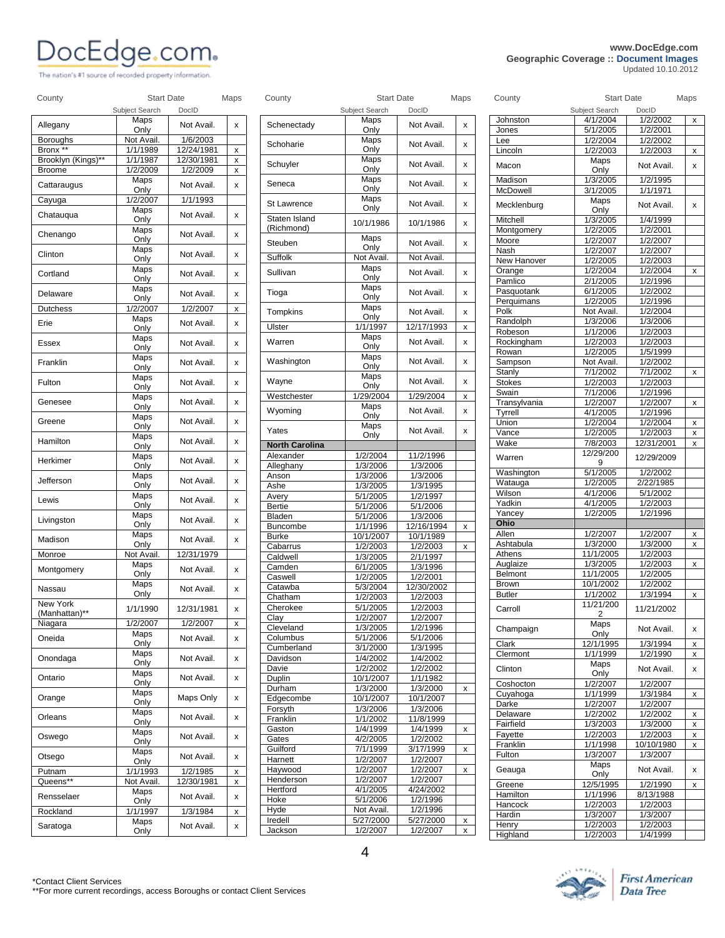## **DOCEdge.com**<br> **COCEDGE:** COM

| PUCLUYU.CUIII.<br>The nation's #1 source of recorded property information. |                      |                        |              |               |                   |            |      |                         | Geographic Coverage :: Document Images | Updated 10.10.2012     |                           |
|----------------------------------------------------------------------------|----------------------|------------------------|--------------|---------------|-------------------|------------|------|-------------------------|----------------------------------------|------------------------|---------------------------|
| County                                                                     | <b>Start Date</b>    |                        | Maps         | County        | <b>Start Date</b> |            | Maps | County                  | <b>Start Date</b>                      |                        | Maps                      |
|                                                                            | Subiect Search       | DocID                  |              |               | Subject Search    | DocID      |      |                         | Subject Search                         | DocID                  |                           |
| Allegany                                                                   | Maps<br>Only         | Not Avail.             | $\mathsf{x}$ | Schenectady   | Maps<br>Only      | Not Avail. | x    | Johnston<br>Jones       | 4/1/2004<br>5/1/2005                   | 1/2/2002<br>1/2/2001   | $\boldsymbol{\mathsf{x}}$ |
| Boroughs                                                                   | Not Avail.           | 1/6/2003               |              |               | Maps              |            |      | Lee                     | 1/2/2004                               | 1/2/2002               |                           |
| Bronx **                                                                   | 1/1/1989             | 12/24/1981             | x            | Schoharie     | Only              | Not Avail. | x    | Lincoln                 | 1/2/2003                               | 1/2/2003               | X                         |
| Brooklyn (Kings)**<br>Broome                                               | 1/1/1987<br>1/2/2009 | 12/30/1981<br>1/2/2009 | x<br>x       | Schuyler      | Maps<br>Only      | Not Avail. | x    | Macon                   | Maps<br>Only                           | Not Avail.             | X                         |
| Cattaraugus                                                                | Maps                 | Not Avail.             | x            | Seneca        | Maps<br>Only      | Not Avail. | x    | Madison                 | 1/3/2005                               | 1/2/1995               |                           |
| Cayuga                                                                     | Only<br>1/2/2007     | 1/1/1993               |              | St Lawrence   | Maps              | Not Avail. | x    | McDowell<br>Mecklenburg | 3/1/2005<br>Maps                       | 1/1/1971<br>Not Avail. | X                         |
| Chatauqua                                                                  | Maps<br>Only         | Not Avail.             | x            | Staten Island | Only<br>10/1/1986 | 10/1/1986  |      | Mitchell                | Only<br>1/3/2005                       | 1/4/1999               |                           |
| Chenango                                                                   | Maps<br>Only         | Not Avail.             | $\mathsf{x}$ | (Richmond)    | Maps              |            | x    | Montgomery              | 1/2/2005                               | 1/2/2001               |                           |
| Clinton                                                                    | Maps                 | Not Avail.             | x            | Steuben       | Only              | Not Avail. | X    | Moore<br>Nash           | 1/2/2007<br>1/2/2007                   | 1/2/2007<br>1/2/2007   |                           |
|                                                                            | Only                 |                        |              | Suffolk       | Not Avail.        | Not Avail. |      | New Hanover             | 1/2/2005                               | 1/2/2003               |                           |
| Cortland                                                                   | Maps<br>Only         | Not Avail.             | $\mathsf{x}$ | Sullivan      | Maps<br>Only      | Not Avail. | x    | Orange<br>Pamlico       | 1/2/2004<br>2/1/2005                   | 1/2/2004<br>1/2/1996   | x                         |
| Delaware                                                                   | Maps                 | Not Avail.             | $\mathsf{x}$ | Tioga         | Maps<br>Only      | Not Avail. | x    | Pasquotank              | 6/1/2005                               | 1/2/2002               |                           |
| <b>Dutchess</b>                                                            | Only<br>1/2/2007     | 1/2/2007               | X            | Tompkins      | Maps              | Not Avail. | x    | Perguimans<br>Polk      | 1/2/2005<br>Not Avail                  | 1/2/1996<br>1/2/2004   |                           |
|                                                                            | Mana                 |                        |              |               | Only              |            |      |                         |                                        |                        |                           |

| Clinton                   | Maps<br>Only | Not Avail. | x |
|---------------------------|--------------|------------|---|
| Cortland                  | Maps<br>Only | Not Avail. | X |
| Delaware                  | Maps<br>Only | Not Avail. | x |
| Dutchess                  | 1/2/2007     | 1/2/2007   | x |
| Erie                      | Maps<br>Only | Not Avail. | x |
| Essex                     | Maps<br>Only | Not Avail. | x |
| Franklin                  | Maps<br>Only | Not Avail. | x |
| Fulton                    | Maps<br>Only | Not Avail. | x |
| Genesee                   | Maps<br>Only | Not Avail. | x |
| Greene                    | Maps<br>Only | Not Avail. | x |
| Hamilton                  | Maps<br>Only | Not Avail. | x |
| Herkimer                  | Maps<br>Only | Not Avail. | x |
| Jefferson                 | Maps<br>Only | Not Avail. | x |
| Lewis                     | Maps<br>Only | Not Avail. | x |
| Livingston                | Maps<br>Only | Not Avail. | x |
| Madison                   | Maps<br>Only | Not Avail. | x |
| Monroe                    | Not Avail.   | 12/31/1979 |   |
| Montgomery                | Maps<br>Only | Not Avail. | X |
| Nassau                    | Maps<br>Only | Not Avail. | X |
| New York<br>(Manhattan)** | 1/1/1990     | 12/31/1981 | x |
| Niagara                   | 1/2/2007     | 1/2/2007   | x |
| Oneida                    | Maps<br>Only | Not Avail. | x |
| Onondaga                  | Maps<br>Only | Not Avail. | x |
| Ontario                   | Maps<br>Only | Not Avail. | x |
| Orange                    | Maps<br>Only | Maps Only  | x |
| Orleans                   | Maps<br>Only | Not Avail. | x |
| Oswego                    | Maps<br>Only | Not Avail. | x |
| Otsego                    | Maps<br>Only | Not Avail. | x |
| Putnam                    | 1/1/1993     | 1/2/1985   | x |
| Queens**                  | Not Avail.   | 12/30/1981 | x |
| Rensselaer                | Maps<br>Only | Not Avail. | x |
| Rockland                  | 1/1/1997     | 1/3/1984   | x |
| Saratoga                  | Maps<br>Only | Not Avail. | x |

| Schenectady           | iviaps<br>Only        | Not Avail.            | X |
|-----------------------|-----------------------|-----------------------|---|
| Schoharie             | Maps<br>Only          | Not Avail.            | X |
| Schuyler              | Maps<br>Only          | Not Avail.            | X |
| Seneca                | Maps                  | Not Avail.            | x |
| <b>St Lawrence</b>    | Only<br>Maps          | Not Avail.            | x |
| Staten Island         | Only<br>10/1/1986     | 10/1/1986             | x |
| (Richmond)<br>Steuben | Maps                  | Not Avail.            | x |
| Suffolk               | Only<br>Not Avail.    | Not Avail.            |   |
| Sullivan              | Maps                  | Not Avail.            | X |
|                       | Only<br>Maps          |                       |   |
| Tioga                 | Only<br>Maps          | Not Avail.            | x |
| Tompkins              | Only                  | Not Avail.            | x |
| Ulster                | 1/1/1997<br>Maps      | 12/17/1993            | x |
| Warren                | Only                  | Not Avail.            | X |
| Washington            | Maps<br>Only          | Not Avail.            | x |
| Wayne                 | Maps<br>Only          | Not Avail.            | x |
| Westchester           | 1/29/2004             | 1/29/2004             | X |
| Wyoming               | Maps<br>Only          | Not Avail.            | X |
| Yates                 | Maps<br>Only          | Not Avail.            | X |
| <b>North Carolina</b> |                       |                       |   |
| Alexander             | 1/2/2004              | 11/2/1996             |   |
| Alleghany             | 1/3/2006              | 1/3/2006              |   |
| Anson<br>Ashe         | 1/3/2006<br>1/3/2005  | 1/3/2006<br>1/3/1995  |   |
| Avery                 | 5/1/2005              | 1/2/1997              |   |
| <b>Bertie</b>         | 5/1/2006              | 5/1/2006              |   |
| Bladen                | 5/1/2006              | 1/3/2006              |   |
| Buncombe              | 1/1/1996              | 12/16/1994            | x |
| <b>Burke</b>          | 10/1/2007             | 10/1/1989             |   |
| Cabarrus              | 1/2/2003              | 1/2/2003              | x |
| Caldwell<br>Camden    | 1/3/2005<br>6/1/2005  | 2/1/1997<br>1/3/1996  |   |
| Caswell               | 1/2/2005              | 1/2/2001              |   |
| Catawba               | 5/3/2004              | 12/30/2002            |   |
| Chatham               | 1/2/2003              | 1/2/2003              |   |
| Cherokee              | 5/1/2005              | 1/2/2003              |   |
| Clay                  | 1/2/2007<br>1/3/2005  | 1/2/2007<br>1/2/1996  |   |
| Cleveland<br>Columbus | 5/1/2006              | 5/1/2006              |   |
| Cumberland            | 3/1/2000              | 1/3/1995              |   |
| Davidson              | 1/4/2002              | 1/4/2002              |   |
| Davie                 | 1/2/2002              | 1/2/2002              |   |
| Duplin                | 10/1/2007             | 1/1/1982              |   |
| Durham                | 1/3/2000              | 1/3/2000              | x |
| Edgecombe<br>Forsyth  | 10/1/2007<br>1/3/2006 | 10/1/2007<br>1/3/2006 |   |
| Franklin              | 1/1/2002              | 11/8/1999             |   |
| Gaston                | 1/4/1999              | 1/4/1999              | x |
| Gates                 | 4/2/2005              | 1/2/2002              |   |
| Guilford              | 7/1/1999              | 3/17/1999             | x |
| Harnett               | 1/2/2007              | 1/2/2007              |   |
| Haywood               | 1/2/2007              | 1/2/2007              | х |
| Henderson<br>Hertford | 1/2/2007<br>4/1/2005  | 1/2/2007<br>4/24/2002 |   |
| Hoke                  | $\frac{1}{5/1/2006}$  | 1/2/1996              |   |
| Hyde                  | Not Avail.            | 1/2/1996              |   |
| Iredell               | 5/27/2000             | 5/27/2000             | x |
|                       |                       |                       |   |
| Jackson               | 1/2/2007              | 1/2/2007              | x |

| County                       | <b>Start Date</b>    |                      | Maps   |
|------------------------------|----------------------|----------------------|--------|
|                              | Subject Search       | DocID                |        |
| Johnston                     | 4/1/2004             | 1/2/2002             | x      |
| Jones                        | 5/1/2005             | 1/2/2001             |        |
| Lee                          | 1/2/2004             | 1/2/2002             |        |
| Lincoln                      | 1/2/2003             | 1/2/2003             | x      |
| Macon                        | Maps<br>Only         | Not Avail.           | x      |
| Madison                      | 1/3/2005             | 1/2/1995             |        |
| McDowell                     | 3/1/2005             | 1/1/1971             |        |
| Mecklenburg                  | Maps<br>Only         | Not Avail.           | X      |
| Mitchell                     | 1/3/2005             | 1/4/1999             |        |
| Montgomery                   | 1/2/2005             | 1/2/2001             |        |
| Moore                        | 1/2/2007             | 1/2/2007             |        |
| Nash                         | 1/2/2007             | 1/2/2007             |        |
| <b>New Hanover</b><br>Orange | 1/2/2005<br>1/2/2004 | 1/2/2003<br>1/2/2004 |        |
| Pamlico                      | 2/1/2005             | 1/2/1996             | x      |
| Pasquotank                   | 6/1/2005             | 1/2/2002             |        |
| Perquimans                   | 1/2/2005             | 1/2/1996             |        |
| Polk                         | Not Avail.           | 1/2/2004             |        |
| Randolph                     | 1/3/2006             | 1/3/2006             |        |
| Robeson                      | 1/1/2006             | 1/2/2003             |        |
| Rockingham                   | 1/2/2003             | 1/2/2003             |        |
| Rowan                        | 1/2/2005             | 1/5/1999             |        |
| Sampson                      | Not Avail.           | 1/2/2002             |        |
| Stanly                       | 7/1/2002             | 7/1/2002             | X      |
| Stokes                       | 1/2/2003             | 1/2/2003             |        |
| Swain                        | 7/1/2006             | 1/2/1996<br>1/2/2007 |        |
| Transylvania                 | 1/2/2007<br>4/1/2005 | 1/2/1996             | x      |
| Tyrrell<br>Union             | 1/2/2004             | 1/2/2004             |        |
| Vance                        | 1/2/2005             | 1/2/2003             | x<br>X |
| Wake                         | 7/8/2003             | 12/31/2001           | X      |
| Warren                       | 12/29/200            | 12/29/2009           |        |
| Washington                   | 9<br>5/1/2005        | 1/2/2002             |        |
| Watauga                      | 1/2/2005             | 2/22/1985            |        |
| Wilson                       | 4/1/2006             | 5/1/2002             |        |
| Yadkin                       | 4/1/2005             | 1/2/2003             |        |
| Yancey                       | 1/2/2005             | 1/2/1996             |        |
| Ohio                         |                      |                      |        |
| Allen                        | 1/2/2007             | 1/2/2007             | x      |
| Ashtabula                    | 1/3/2000             | 1/3/2000             | X      |
| Athens                       | 11/1/2005            | 1/2/2003             |        |
| Auglaize                     | 1/3/2005             | 1/2/2003             | X      |
| Belmont                      | 11/1/2005            | 1/2/2005             |        |
| Brown                        | 10/1/2002            | 1/2/2002             |        |
| <b>Butler</b>                | 1/1/2002             | 1/3/1994             | X      |
| Carroll                      | 11/21/200<br>2       | 11/21/2002           |        |
| Champaign                    | Maps<br>Only         | Not Avail.           | x      |
| Clark                        | 12/1/1995            | 1/3/1994             | х      |
| Clermont                     | 1/1/1999             | 1/2/1990             | x      |
| Clinton                      | Maps<br>Only         | Not Avail.           | x      |
| Coshocton                    | 1/2/2007             | 1/2/2007             |        |
| Cuyahoga                     | 1/1/1999             | 1/3/1984             | x      |
| Darke                        | 1/2/2007             | 1/2/2007             |        |
| Delaware                     | 1/2/2002             | 1/2/2002             | х      |
| Fairfield                    | 1/3/2003             | 1/3/2000             | X      |
| Fayette                      | 1/2/2003             | 1/2/2003             | x      |
| Franklin                     | 1/1/1998             | 10/10/1980           | x      |
| Fulton                       | $\frac{1}{3}/32007$  | 1/3/2007             |        |
| Geauga                       | Maps<br>Only         | Not Avail.           | x      |
| Greene                       | 12/5/1995            | 1/2/1990             | x      |

Hamilton 1/1/1996 8/13/1988<br>Hancock 1/2/2003 1/2/2003 1/2/2003 Hardin 1/3/2007 1/3/2007 Henry 1/2/2003 1/2/2003<br>
Highland 1/2/2003 1/4/1999 1/2/2003



\*Contact Client Services \*\*For more current recordings, access Boroughs or contact Client Services

**Geographic Coverage :: Document Images**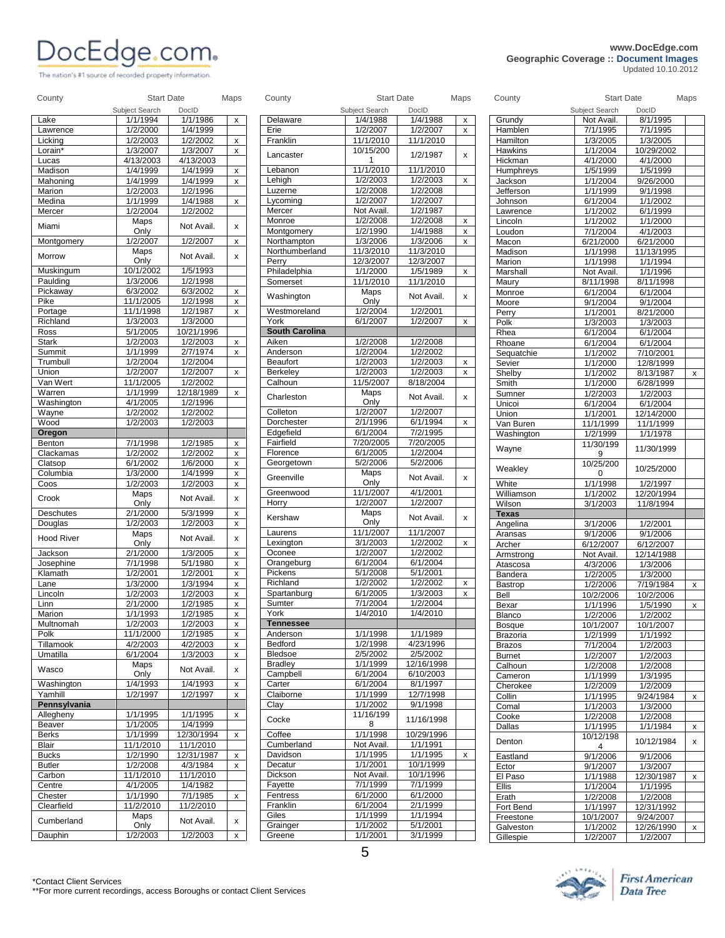The nation's #1 source of recorded property information.

### **PORTING COMPUTER Geographic Coverage :: Document Images** *Updated 10.10.2012*

|                                                                                                                                                                                                   | Subject Search       | DocID                  |                         |                                | Subject Search        | DocID                 |                    |                        | Subject Search          | DocID                   |                                                                            |
|---------------------------------------------------------------------------------------------------------------------------------------------------------------------------------------------------|----------------------|------------------------|-------------------------|--------------------------------|-----------------------|-----------------------|--------------------|------------------------|-------------------------|-------------------------|----------------------------------------------------------------------------|
| Lake                                                                                                                                                                                              | 1/1/1994             | 1/1/1986               | $\mathsf X$             | Delaware                       | 1/4/1988              | 1/4/1988              | $\pmb{\mathsf{x}}$ | Grundy                 | Not Avail.              | 8/1/1995                |                                                                            |
| Lawrence                                                                                                                                                                                          | 1/2/2000             | 1/4/1999<br>1/2/2002   |                         | Erie                           | 1/2/2007<br>11/1/2010 | 1/2/2007              | X                  | Hamblen<br>Hamilton    | 7/1/1995                | 7/1/1995                |                                                                            |
| Licking<br>Lorain*                                                                                                                                                                                | 1/2/2003<br>1/3/2007 | 1/3/2007               | X<br>X                  | Franklin                       | 10/15/200             | 11/1/2010             |                    | Hawkins                | 1/3/2005<br>1/1/2004    | 1/3/2005<br>10/29/2002  |                                                                            |
| Lucas                                                                                                                                                                                             | 4/13/2003            | 4/13/2003              |                         | Lancaster                      | $\mathbf 1$           | 1/2/1987              | X                  | Hickman                | 4/1/2000                | 4/1/2000                |                                                                            |
| Madison                                                                                                                                                                                           | 1/4/1999             | 1/4/1999               | x                       | Lebanon                        | 11/1/2010             | 11/1/2010             |                    | Humphreys              | 1/5/1999                | 1/5/1999                |                                                                            |
| Mahoning                                                                                                                                                                                          | 1/4/1999             | 1/4/1999               | X                       | Lehigh                         | 1/2/2003              | 1/2/2003              | X                  | Jackson                | 1/1/2004                | 9/26/2000               |                                                                            |
| Marion                                                                                                                                                                                            | 1/2/2003             | 1/2/1996               |                         | Luzerne                        | 1/2/2008              | 1/2/2008              |                    | Jefferson              | 1/1/1999                | 9/1/1998                |                                                                            |
| Medina                                                                                                                                                                                            | 1/1/1999             | 1/4/1988               | $\mathsf X$             | Lycoming                       | 1/2/2007              | 1/2/2007              |                    | Johnson                | 6/1/2004                | 1/1/2002                |                                                                            |
| Mercer                                                                                                                                                                                            | 1/2/2004             | 1/2/2002               |                         | Mercer                         | Not Avail.            | 1/2/1987              |                    | Lawrence               | 1/1/2002                | 6/1/1999                |                                                                            |
| Miami                                                                                                                                                                                             | Maps                 | Not Avail.             | X                       | Monroe                         | 1/2/2008              | 1/2/2008              | X                  | Lincoln                | 1/1/2002                | 1/1/2000                |                                                                            |
| Montgomery                                                                                                                                                                                        | Only<br>1/2/2007     | 1/2/2007               | X                       | Montgomery<br>Northampton      | 1/2/1990<br>1/3/2006  | 1/4/1988<br>1/3/2006  | X<br>X             | Loudon                 | 7/1/2004                | 4/1/2003                |                                                                            |
|                                                                                                                                                                                                   | Maps                 |                        |                         | Northumberland                 | 11/3/2010             | 11/3/2010             |                    | Macon<br>Madison       | 6/21/2000<br>1/1/1998   | 6/21/2000<br>11/13/1995 |                                                                            |
| Morrow                                                                                                                                                                                            | Only                 | Not Avail.             | x                       | Perry                          | 12/3/2007             | 12/3/2007             |                    | Marion                 | 1/1/1998                | 1/1/1994                |                                                                            |
| Muskingum                                                                                                                                                                                         | 10/1/2002            | 1/5/1993               |                         | Philadelphia                   | 1/1/2000              | 1/5/1989              | $\pmb{\mathsf{x}}$ | Marshall               | Not Avail.              | 1/1/1996                |                                                                            |
| Paulding                                                                                                                                                                                          | 1/3/2006             | 1/2/1998               |                         | Somerset                       | 11/1/2010             | 11/1/2010             |                    | Maury                  | 8/11/1998               | 8/11/1998               |                                                                            |
| Pickaway                                                                                                                                                                                          | 6/3/2002             | 6/3/2002               | X                       | Washington                     | Maps                  | Not Avail.            | x                  | Monroe                 | 6/1/2004                | 6/1/2004                |                                                                            |
| Pike                                                                                                                                                                                              | 11/1/2005            | 1/2/1998               | X                       |                                | Only                  |                       |                    | Moore                  | 9/1/2004                | 9/1/2004                |                                                                            |
| Portage                                                                                                                                                                                           | 11/1/1998            | 1/2/1987               | $\mathsf X$             | Westmoreland                   | 1/2/2004              | 1/2/2001              |                    | Perry                  | 1/1/2001                | 8/21/2000               |                                                                            |
| Richland                                                                                                                                                                                          | 1/3/2003             | 1/3/2000               |                         | York                           | 6/1/2007              | 1/2/2007              | $\mathsf{x}$       | Polk                   | 1/3/2003                | 1/3/2003                |                                                                            |
| Ross<br><b>Stark</b>                                                                                                                                                                              | 5/1/2005<br>1/2/2003 | 10/21/1996<br>1/2/2003 | X                       | <b>South Carolina</b><br>Aiken | 1/2/2008              | 1/2/2008              |                    | Rhea                   | 6/1/2004                | 6/1/2004                |                                                                            |
| Summit                                                                                                                                                                                            | 1/1/1999             | 2/7/1974               | X                       | Anderson                       | 1/2/2004              | 1/2/2002              |                    | Rhoane<br>Sequatchie   | 6/1/2004<br>1/1/2002    | 6/1/2004<br>7/10/2001   |                                                                            |
| Trumbull                                                                                                                                                                                          | 1/2/2004             | 1/2/2004               |                         | Beaufort                       | 1/2/2003              | 1/2/2003              | X                  | Sevier                 | $\frac{1}{1/1}$ /2000   | 12/8/1999               |                                                                            |
| Union                                                                                                                                                                                             | 1/2/2007             | 1/2/2007               | $\pmb{\mathsf{x}}$      | Berkeley                       | 1/2/2003              | 1/2/2003              | X                  | Shelby                 | 1/1/2002                | 8/13/1987               | $\boldsymbol{\mathsf{x}}$                                                  |
| Van Wert                                                                                                                                                                                          | 11/1/2005            | 1/2/2002               |                         | Calhoun                        | 11/5/2007             | 8/18/2004             |                    | Smith                  | 1/1/2000                | 6/28/1999               |                                                                            |
| Warren                                                                                                                                                                                            | 1/1/1999             | 12/18/1989             | X                       | Charleston                     | Maps                  | Not Avail.            | x                  | Sumner                 | 1/2/2003                | 1/2/2003                |                                                                            |
| Washington                                                                                                                                                                                        | 4/1/2005             | 1/2/1996               |                         |                                | Only                  |                       |                    | Unicoi                 | 6/1/2004                | 6/1/2004                |                                                                            |
| Wayne                                                                                                                                                                                             | 1/2/2002             | 1/2/2002               |                         | Colleton                       | 1/2/2007              | 1/2/2007              |                    | Union                  | 1/1/2001                | 12/14/2000              |                                                                            |
| Wood                                                                                                                                                                                              | 1/2/2003             | 1/2/2003               |                         | Dorchester                     | 2/1/1996              | 6/1/1994              | X                  | Van Buren              | 11/1/1999               | 11/1/1999               |                                                                            |
| Oregon                                                                                                                                                                                            |                      |                        |                         | Edgefield<br>Fairfield         | 6/1/2004<br>7/20/2005 | 7/2/1995<br>7/20/2005 |                    | Washington             | 1/2/1999                | 1/1/1978                |                                                                            |
| <b>Benton</b><br>Clackamas                                                                                                                                                                        | 7/1/1998<br>1/2/2002 | 1/2/1985<br>1/2/2002   | x<br>$\pmb{\mathsf{x}}$ | Florence                       | 6/1/2005              | 1/2/2004              |                    | Wayne                  | 11/30/199<br>9          | 11/30/1999              |                                                                            |
| Clatsop                                                                                                                                                                                           | 6/1/2002             | 1/6/2000               | X                       | Georgetown                     | 5/2/2006              | 5/2/2006              |                    |                        | 10/25/200               |                         |                                                                            |
| Columbia                                                                                                                                                                                          | 1/3/2000             | 1/4/1999               | X                       |                                | Maps                  |                       |                    | Weakley                | 0                       | 10/25/2000              |                                                                            |
| Coos                                                                                                                                                                                              | 1/2/2003             | 1/2/2003               | X                       | Greenville                     | Only                  | Not Avail.            | x                  | White                  | 1/1/1998                | 1/2/1997                |                                                                            |
| Crook                                                                                                                                                                                             | Maps                 | Not Avail.             |                         | Greenwood                      | 11/1/2007             | 4/1/2001              |                    | Williamson             | 1/1/2002                | 12/20/1994              |                                                                            |
|                                                                                                                                                                                                   | Only                 |                        | x                       | Horry                          | 1/2/2007              | 1/2/2007              |                    | Wilson                 | 3/1/2003                | 11/8/1994               |                                                                            |
| Deschutes                                                                                                                                                                                         | 2/1/2000             | 5/3/1999               | X                       | Kershaw                        | Maps                  | Not Avail.            | x                  | <b>Texas</b>           |                         |                         |                                                                            |
| Douglas                                                                                                                                                                                           | 1/2/2003             | 1/2/2003               | $\pmb{\mathsf{x}}$      |                                | Only<br>11/1/2007     | 11/1/2007             |                    | Angelina               | 3/1/2006                | 1/2/2001                |                                                                            |
| <b>Hood River</b>                                                                                                                                                                                 | Maps<br>Only         | Not Avail.             | $\pmb{\times}$          | Laurens<br>Lexington           | 3/1/2003              | 1/2/2002              | X                  | Aransas                | 9/1/2006                | 9/1/2006                |                                                                            |
| Jackson                                                                                                                                                                                           | 2/1/2000             | 1/3/2005               | $\pmb{\mathsf{x}}$      | Oconee                         | 1/2/2007              | 1/2/2002              |                    | Archer                 | 6/12/2007<br>Not Avail. | 6/12/2007<br>12/14/1988 |                                                                            |
| Josephine                                                                                                                                                                                         | 7/1/1998             | 5/1/1980               | $\pmb{\mathsf{x}}$      | Orangeburg                     | 6/1/2004              | 6/1/2004              |                    | Armstrong<br>Atascosa  | 4/3/2006                | 1/3/2006                |                                                                            |
| Klamath                                                                                                                                                                                           | 1/2/2001             | 1/2/2001               | X                       | Pickens                        | 5/1/2008              | 5/1/2001              |                    | Bandera                | 1/2/2005                | 1/3/2000                |                                                                            |
| Lane                                                                                                                                                                                              | 1/3/2000             | 1/3/1994               | $\pmb{\mathsf{x}}$      | Richland                       | 1/2/2002              | 1/2/2002              | x                  | Bastrop                | 1/2/2006                | 7/19/1984               | $\pmb{\chi}$                                                               |
| Lincoln                                                                                                                                                                                           | 1/2/2003             | 1/2/2003               | X                       | Spartanburg                    | 6/1/2005              | 1/3/2003              | X                  | Bell                   | 10/2/2006               | 10/2/2006               |                                                                            |
| Linn                                                                                                                                                                                              | 2/1/2000             | 1/2/1985               | x                       | Sumter                         | 7/1/2004              | 1/2/2004              |                    | Bexar                  | 1/1/1996                | 1/5/1990                | $\pmb{\mathsf{x}}$                                                         |
|                                                                                                                                                                                                   |                      |                        |                         | Y OFK                          | 1/4/2010              | 1/4/2010              |                    | Blanco                 | 1/2/2006                | 1/2/2002                |                                                                            |
|                                                                                                                                                                                                   | 1/1/1993             | 1/2/1985               | x                       |                                |                       |                       |                    | Bosque                 |                         |                         |                                                                            |
|                                                                                                                                                                                                   | 1/2/2003             | 1/2/2003               | X                       | <b>Tennessee</b>               |                       |                       |                    |                        | 10/1/2007               | 10/1/2007               |                                                                            |
|                                                                                                                                                                                                   | 11/1/2000            | 1/2/1985               | x                       | Anderson                       | 1/1/1998              | 1/1/1989              |                    | Brazoria               | 1/2/1999                | 1/1/1992                |                                                                            |
|                                                                                                                                                                                                   | 4/2/2003             | 4/2/2003               | X                       | Bedford                        | 1/2/1998              | 4/23/1996             |                    | <b>Brazos</b>          | 7/1/2004                | 1/2/2003                |                                                                            |
|                                                                                                                                                                                                   | 6/1/2004             | 1/3/2003               | x                       | Bledsoe                        | 2/5/2002              | 2/5/2002              |                    | <b>Burnet</b>          | 1/2/2007                | 1/2/2003                |                                                                            |
|                                                                                                                                                                                                   | Maps                 | Not Avail.             | x                       | <b>Bradley</b>                 | 1/1/1999              | 12/16/1998            |                    | Calhoun                | 1/2/2008                | 1/2/2008                |                                                                            |
|                                                                                                                                                                                                   | Only                 |                        |                         | Campbell                       | 6/1/2004              | 6/10/2003             |                    | Cameron                | 1/1/1999                | 1/3/1995                |                                                                            |
|                                                                                                                                                                                                   | 1/4/1993<br>1/2/1997 | 1/4/1993<br>1/2/1997   | X<br>X                  | Carter<br>Claiborne            | 6/1/2004<br>1/1/1999  | 8/1/1997<br>12/7/1998 |                    | Cherokee               | 1/2/2009                | 1/2/2009                |                                                                            |
|                                                                                                                                                                                                   |                      |                        |                         | Clay                           | 1/1/2002              | 9/1/1998              |                    | Collin                 | 1/1/1995                | 9/24/1984               |                                                                            |
|                                                                                                                                                                                                   | 1/1/1995             | 1/1/1995               | x                       |                                | 11/16/199             |                       |                    | Comal<br>Cooke         | 1/1/2003<br>1/2/2008    | 1/3/2000<br>1/2/2008    |                                                                            |
|                                                                                                                                                                                                   | 1/1/2005             | 1/4/1999               |                         | Cocke                          | 8                     | 11/16/1998            |                    | Dallas                 | 1/1/1995                | 1/1/1984                |                                                                            |
|                                                                                                                                                                                                   | 1/1/1999             | 12/30/1994             | x                       | Coffee                         | 1/1/1998              | 10/29/1996            |                    |                        | 10/12/198               |                         |                                                                            |
|                                                                                                                                                                                                   | 11/1/2010            | 11/1/2010              |                         | Cumberland                     | Not Avail.            | 1/1/1991              |                    | Denton                 | 4                       | 10/12/1984              |                                                                            |
|                                                                                                                                                                                                   | 1/2/1990             | 12/31/1987             | X                       | Davidson                       | 1/1/1995              | 1/1/1995              | x                  | Eastland               | 9/1/2006                | 9/1/2006                |                                                                            |
|                                                                                                                                                                                                   | 1/2/2008             | 4/3/1984               | X                       | Decatur                        | 1/1/2001              | 10/1/1999             |                    | Ector                  | 9/1/2007                | 1/3/2007                |                                                                            |
| Marion<br>Multnomah<br>Polk<br>Tillamook<br>Umatilla<br>Wasco<br>Washington<br>Yamhill<br>Pennsylvania<br>Allegheny<br>Beaver<br><b>Berks</b><br>Blair<br><b>Bucks</b><br><b>Butler</b><br>Carbon | 11/1/2010            | 11/1/2010              |                         | Dickson                        | Not Avail.            | 10/1/1996             |                    | El Paso                | 1/1/1988                | 12/30/1987              |                                                                            |
| Centre                                                                                                                                                                                            | 4/1/2005             | 1/4/1982               |                         | Fayette                        | 7/1/1999              | 7/1/1999              |                    | Ellis                  | 1/1/2004                | 1/1/1995                |                                                                            |
|                                                                                                                                                                                                   | 1/1/1990             | 7/1/1985               | X                       | Fentress                       | 6/1/2000              | 6/1/2000              |                    | Erath                  | 1/2/2008                | 1/2/2008                |                                                                            |
|                                                                                                                                                                                                   | 11/2/2010<br>Maps    | 11/2/2010              |                         | Franklin<br>Giles              | 6/1/2004<br>1/1/1999  | 2/1/1999<br>1/1/1994  |                    | Fort Bend              | 1/1/1997                | 12/31/1992<br>9/24/2007 | X<br>$\boldsymbol{\mathsf{x}}$<br>$\pmb{\mathsf{x}}$<br>$\pmb{\mathsf{x}}$ |
| Chester<br>Clearfield<br>Cumberland                                                                                                                                                               | Only                 | Not Avail.             | x                       | Grainger                       | 1/1/2002              | 5/1/2001              |                    | Freestone<br>Galveston | 10/1/2007<br>1/1/2002   | 12/26/1990              | $\pmb{\mathsf{x}}$                                                         |
| Dauphin                                                                                                                                                                                           | 1/2/2003             | 1/2/2003               | x                       | Greene                         | 1/1/2001              | 3/1/1999              |                    | Gillespie              | 1/2/2007                | 1/2/2007                |                                                                            |